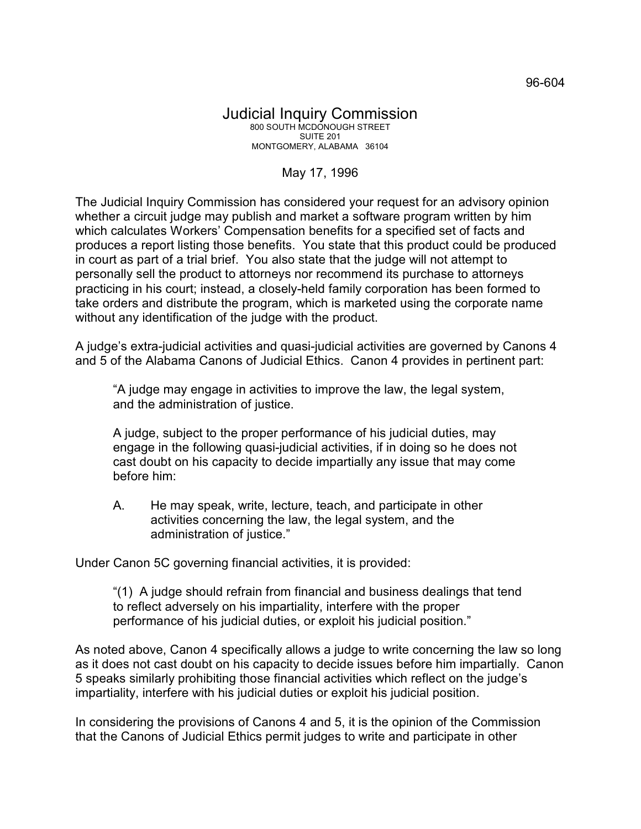## May 17, 1996

The Judicial Inquiry Commission has considered your request for an advisory opinion whether a circuit judge may publish and market a software program written by him which calculates Workers' Compensation benefits for a specified set of facts and produces a report listing those benefits. You state that this product could be produced in court as part of a trial brief. You also state that the judge will not attempt to personally sell the product to attorneys nor recommend its purchase to attorneys practicing in his court; instead, a closely-held family corporation has been formed to take orders and distribute the program, which is marketed using the corporate name without any identification of the judge with the product.

A judge's extra-judicial activities and quasi-judicial activities are governed by Canons 4 and 5 of the Alabama Canons of Judicial Ethics. Canon 4 provides in pertinent part:

"A judge may engage in activities to improve the law, the legal system, and the administration of justice.

A judge, subject to the proper performance of his judicial duties, may engage in the following quasi-judicial activities, if in doing so he does not cast doubt on his capacity to decide impartially any issue that may come before him:

A. He may speak, write, lecture, teach, and participate in other activities concerning the law, the legal system, and the administration of justice."

Under Canon 5C governing financial activities, it is provided:

"(1) A judge should refrain from financial and business dealings that tend to reflect adversely on his impartiality, interfere with the proper performance of his judicial duties, or exploit his judicial position."

As noted above, Canon 4 specifically allows a judge to write concerning the law so long as it does not cast doubt on his capacity to decide issues before him impartially. Canon 5 speaks similarly prohibiting those financial activities which reflect on the judge's impartiality, interfere with his judicial duties or exploit his judicial position.

In considering the provisions of Canons 4 and 5, it is the opinion of the Commission that the Canons of Judicial Ethics permit judges to write and participate in other